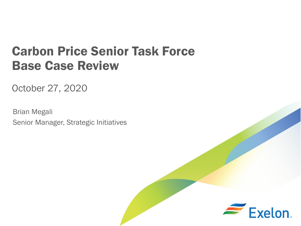# Carbon Price Senior Task Force Base Case Review

October 27, 2020

Brian Megali Senior Manager, Strategic Initiatives

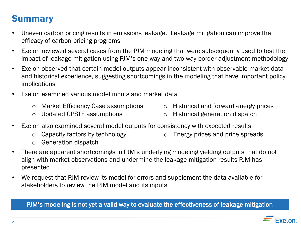### **Summary**

- Uneven carbon pricing results in emissions leakage. Leakage mitigation can improve the efficacy of carbon pricing programs
- Exelon reviewed several cases from the PJM modeling that were subsequently used to test the impact of leakage mitigation using PJM's one-way and two-way border adjustment methodology
- Exelon observed that certain model outputs appear inconsistent with observable market data and historical experience, suggesting shortcomings in the modeling that have important policy implications
- Exelon examined various model inputs and market data
	- o Market Efficiency Case assumptions
- o Historical and forward energy prices

o Updated CPSTF assumptions

- o Historical generation dispatch
- Exelon also examined several model outputs for consistency with expected results
	- o Capacity factors by technology

o Energy prices and price spreads

- o Generation dispatch
- There are apparent shortcomings in PJM's underlying modeling yielding outputs that do not align with market observations and undermine the leakage mitigation results PJM has presented
- We request that PJM review its model for errors and supplement the data available for stakeholders to review the PJM model and its inputs

PJM's modeling is not yet a valid way to evaluate the effectiveness of leakage mitigation

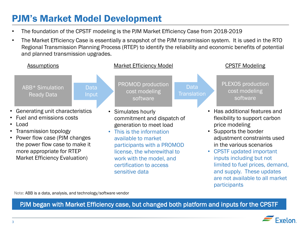## PJM's Market Model Development

- The foundation of the CPSTF modeling is the PJM Market Efficiency Case from 2018-2019
- The Market Efficiency Case is essentially a snapshot of the PJM transmission system. It is used in the RTO Regional Transmission Planning Process (RTEP) to identify the reliability and economic benefits of potential and planned transmission upgrades.



Note: ABB is a data, analysis, and technology/software vendor

PJM began with Market Efficiency case, but changed both platform and inputs for the CPSTF

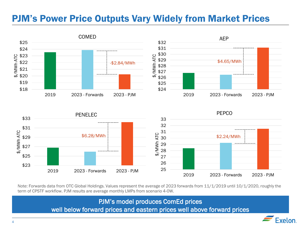### PJM's Power Price Outputs Vary Widely from Market Prices



Note: Forwards data from OTC Global Holdings. Values represent the average of 2023 forwards from 11/1/2019 until 10/1/2020, roughly the term of CPSTF workflow. PJM results are average monthly LMPs from scenario 4-0W.

25 26 27

2019 2023 - Forwards 2023 - PJM

PJM's model produces ComEd prices

well below forward prices and eastern prices well above forward prices

![](_page_3_Picture_5.jpeg)

2019 2023 - Forwards 2023 - PJM

\$23

\$25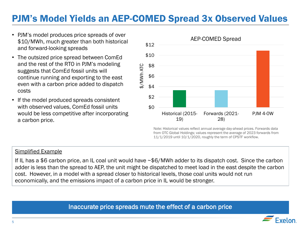### PJM's Model Yields an AEP-COMED Spread 3x Observed Values

- PJM's model produces price spreads of over \$10/MWh, much greater than both historical and forward-looking spreads
- The outsized price spread between ComEd and the rest of the RTO in PJM's modeling suggests that ComEd fossil units will continue running and exporting to the east even with a carbon price added to dispatch costs
- If the model produced spreads consistent with observed values, ComEd fossil units would be less competitive after incorporating a carbon price.

![](_page_4_Figure_4.jpeg)

Note: Historical values reflect annual average day-ahead prices. Forwards data from OTC Global Holdings; values represent the average of 2023 forwards from 11/1/2019 until 10/1/2020, roughly the term of CPSTF workflow.

#### Simplified Example

If IL has a \$6 carbon price, an IL coal unit would have ~\$6/MWh adder to its dispatch cost. Since the carbon adder is less than the spread to AEP, the unit might be dispatched to meet load in the east despite the carbon cost. However, in a model with a spread closer to historical levels, those coal units would not run economically, and the emissions impact of a carbon price in IL would be stronger.

Inaccurate price spreads mute the effect of a carbon price

![](_page_4_Picture_9.jpeg)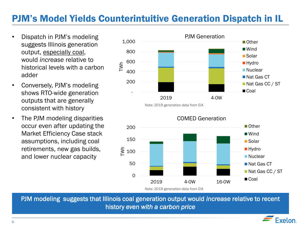### PJM's Model Yields Counterintuitive Generation Dispatch in IL

- Dispatch in PJM's modeling suggests Illinois generation output, especially coal, would *increase* relative to historical levels with a carbon adder
- Conversely, PJM's modeling shows RTO-wide generation outputs that are generally consistent with history
- The PJM modeling disparities occur even after updating the Market Efficiency Case stack assumptions, including coal retirements, new gas builds, and lower nuclear capacity

![](_page_5_Figure_4.jpeg)

Note: 2019 generation data from EIA

![](_page_5_Figure_6.jpeg)

Note: 2019 generation data from EIA

PJM modeling suggests that Illinois coal generation output would *increase* relative to recent history *even with a carbon price* 

![](_page_5_Picture_9.jpeg)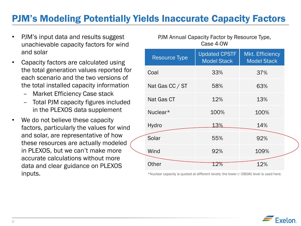### PJM's Modeling Potentially Yields Inaccurate Capacity Factors

- PJM's input data and results suggest unachievable capacity factors for wind and solar
- Capacity factors are calculated using the total generation values reported for each scenario and the two versions of the total installed capacity information
	- Market Efficiency Case stack
	- Total PJM capacity figures included in the PLEXOS data supplement
- We do not believe these capacity factors, particularly the values for wind and solar, are representative of how these resources are actually modeled in PLEXOS, but we can't make more accurate calculations without more data and clear guidance on PLEXOS inputs.

| Case 4-0W            |                                            |                                       |  |
|----------------------|--------------------------------------------|---------------------------------------|--|
| <b>Resource Type</b> | <b>Updated CPSTF</b><br><b>Model Stack</b> | Mkt. Efficiency<br><b>Model Stack</b> |  |
| Coal                 | 33%                                        | 37%                                   |  |
| Nat Gas CC / ST      | 58%                                        | 63%                                   |  |
| Nat Gas CT           | 12%                                        | 13%                                   |  |
| Nuclear*             | 100%                                       | 100%                                  |  |
| Hydro                | 13%                                        | 14%                                   |  |
| Solar                | 55%                                        | 92%                                   |  |
| Wind                 | 92%                                        | 109%                                  |  |
| Other                | 12%                                        | 12%                                   |  |

PJM Annual Capacity Factor by Resource Type,

\*Nuclear capacity is quoted at different levels; the lower (~28GW) level is used here.

![](_page_6_Picture_8.jpeg)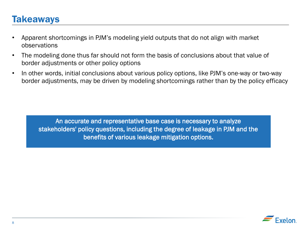### **Takeaways**

- Apparent shortcomings in PJM's modeling yield outputs that do not align with market observations
- The modeling done thus far should not form the basis of conclusions about that value of border adjustments or other policy options
- In other words, initial conclusions about various policy options, like PJM's one-way or two-way border adjustments, may be driven by modeling shortcomings rather than by the policy efficacy

An accurate and representative base case is necessary to analyze stakeholders' policy questions, including the degree of leakage in PJM and the benefits of various leakage mitigation options.

![](_page_7_Picture_5.jpeg)